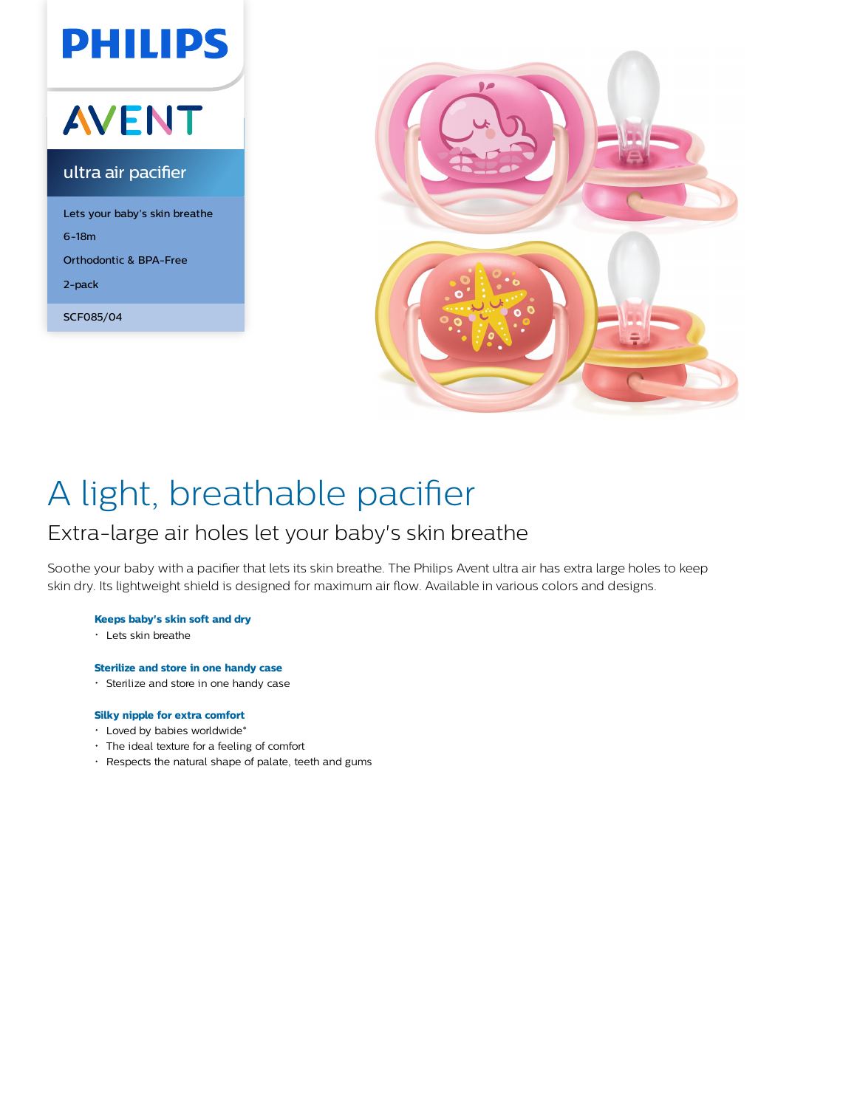## **PHILIPS AVENT** ultra air pacifier Lets your baby's skin breathe 6-18m Orthodontic & BPA-Free 2-pack

SCF085/04



# A light, breathable pacifier

### Extra-large air holes let your baby's skin breathe

Soothe your baby with a pacifier that lets its skin breathe. The Philips Avent ultra air has extra large holes to keep skin dry. Its lightweight shield is designed for maximum air flow. Available in various colors and designs.

#### **Keeps baby's skin soft and dry**

Lets skin breathe

### **Sterilize and store in one handy case**

Sterilize and store in one handy case

#### **Silky nipple for extra comfort**

- Loved by babies worldwide\*
- The ideal texture for a feeling of comfort
- Respects the natural shape of palate, teeth and gums